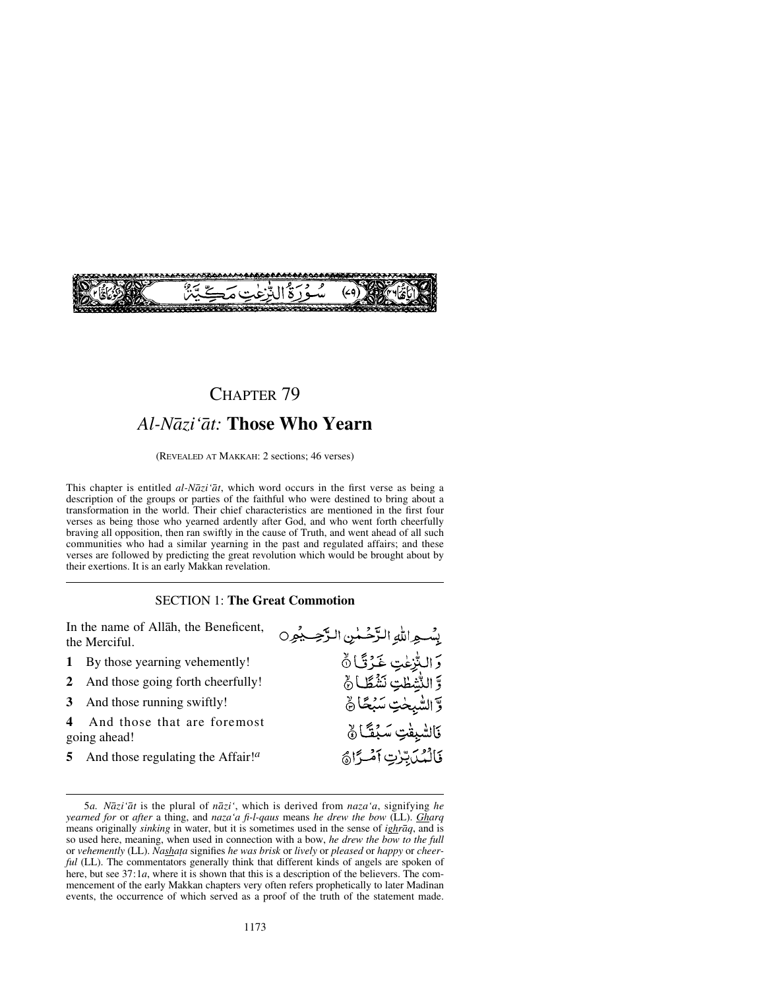

# CHAPTER 79 *Al-Nåzi'åt:* **Those Who Yearn**

(REVEALED AT MAKKAH: 2 sections; 46 verses)

This chapter is entitled *al-Nåzi'åt*, which word occurs in the first verse as being a description of the groups or parties of the faithful who were destined to bring about a transformation in the world. Their chief characteristics are mentioned in the first four verses as being those who yearned ardently after God, and who went forth cheerfully braving all opposition, then ran swiftly in the cause of Truth, and went ahead of all such communities who had a similar yearning in the past and regulated affairs; and these verses are followed by predicting the great revolution which would be brought about by their exertions. It is an early Makkan revelation.

#### SECTION 1: **The Great Commotion**

In the name of Allåh, the Beneficent, يِسْواللهِ الزَّحْسُنِ الزَّحِيمُون the Merciful. رَ التُّزِعٰتِ غَرْتًـا ۞<br>وَ التُّتْطِتِ نَشْطًـا ۞ **1** By those yearning vehemently! **2** And those going forth cheerfully! وَّ الشَّيِحْتِ سَبْحًا نَّ **3** And those running swiftly! **4** And those that are foremost فَالشَّبِقْتِ سَبُقًا ﴾ going ahead!

**5** And those regulating the Affair!*<sup>a</sup>*

فَالْمُدَبِّينِ آمْيَرَاهُ

<sup>5</sup>*a. Nåzi'åt* is the plural of *nåzi'*, which is derived from *naza'a*, signifying *he yearned for* or *after* a thing, and *naza'a fi-l-qaus* means *he drew the bow* (LL). *Gharq* means originally *sinking* in water, but it is sometimes used in the sense of *ighråq*, and is so used here, meaning, when used in connection with a bow, *he drew the bow to the full* or *vehemently* (LL). *Nasha∆a* signifies *he was brisk* or *lively* or *pleased* or *happy* or *cheerful* (LL). The commentators generally think that different kinds of angels are spoken of here, but see 37:1*a*, where it is shown that this is a description of the believers. The commencement of the early Makkan chapters very often refers prophetically to later Madinan events, the occurrence of which served as a proof of the truth of the statement made.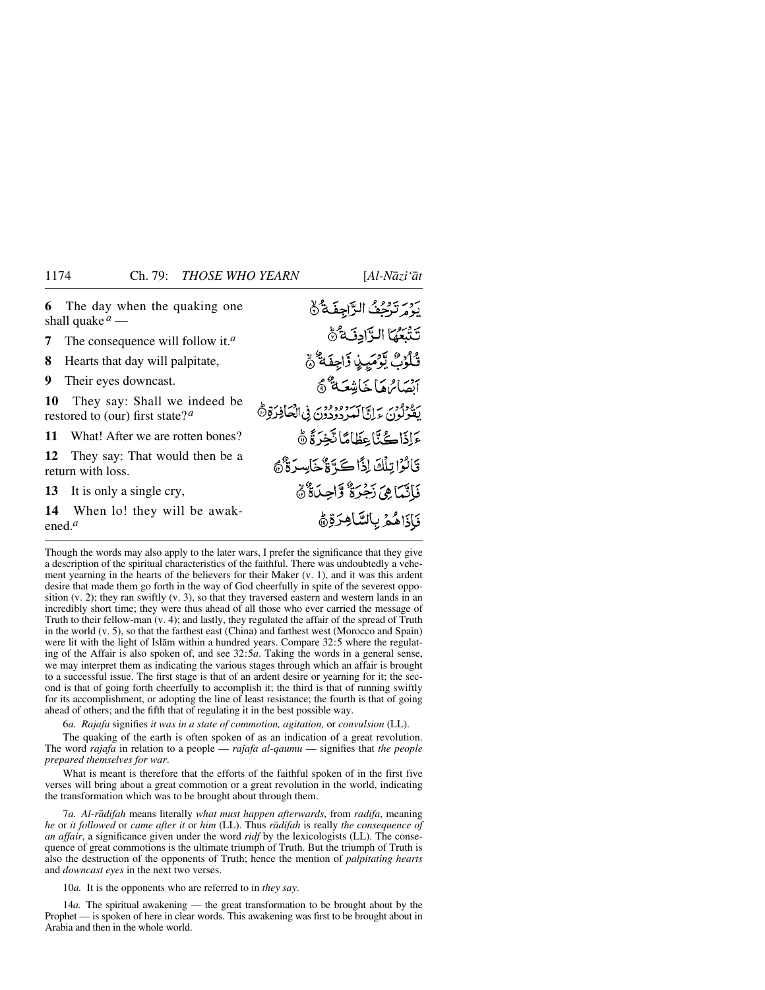روستوم الرَّاجِفَة لَّ **6** The day when the quaking one shall quake *<sup>a</sup>* — تَنْبَعُهَا الرَّادِ فَيَّ **7** The consequence will follow it.*<sup>a</sup>* قُلْوُبُّ يَوْمَيِنِ وَّاجِفَهُ ۚ **8** Hearts that day will palpitate, **9** Their eyes downcast. أنصائرها خايشعة فثي **10** They say: Shall we indeed be بِرْدُورُدِينَ بِرَايَا سَرُدُودِدُنَ فِي الْمَافِرَةِ۞ restored to (our) first state?*<sup>a</sup>* **كَ**اذَاكُنَّا عِظَامًا تَّخِرَةً ٥ **11** What! After we are rotten bones? **12** They say: That would then be a قَالَوْاتِلُكَ إِذًا كَةً ةَ خَاسِدَةٌ هُ return with loss. فَأَنَّمَاهِيَ رَجُرَةٌ وَّاحِدَةٌ َهُ **13** It is only a single cry, **14** When lo! they will be awak-فَأَذَاهُمْ بِالسَّاهِرَةِ هُ ened.*<sup>a</sup>*

Though the words may also apply to the later wars, I prefer the significance that they give a description of the spiritual characteristics of the faithful. There was undoubtedly a vehement yearning in the hearts of the believers for their Maker (v. 1), and it was this ardent desire that made them go forth in the way of God cheerfully in spite of the severest opposition  $(v, 2)$ ; they ran swiftly  $(v, 3)$ , so that they traversed eastern and western lands in an incredibly short time; they were thus ahead of all those who ever carried the message of Truth to their fellow-man (v. 4); and lastly, they regulated the affair of the spread of Truth in the world (v. 5), so that the farthest east (China) and farthest west (Morocco and Spain) were lit with the light of Islåm within a hundred years. Compare 32:5 where the regulating of the Affair is also spoken of, and see 32:5*a*. Taking the words in a general sense, we may interpret them as indicating the various stages through which an affair is brought to a successful issue. The first stage is that of an ardent desire or yearning for it; the second is that of going forth cheerfully to accomplish it; the third is that of running swiftly for its accomplishment, or adopting the line of least resistance; the fourth is that of going ahead of others; and the fifth that of regulating it in the best possible way.

6*a. Rajafa* signifies *it was in a state of commotion, agitation,* or *convulsion* (LL).

The quaking of the earth is often spoken of as an indication of a great revolution. The word *rajafa* in relation to a people — *rajafa al-qaumu* — signifies that *the people prepared themselves for war*.

What is meant is therefore that the efforts of the faithful spoken of in the first five verses will bring about a great commotion or a great revolution in the world, indicating the transformation which was to be brought about through them.

7*a. Al-rådifah* means literally *what must happen afterwards*, from *radifa*, meaning *he* or *it followed* or *came after it* or *him* (LL). Thus *rådifah* is really *the consequence of an affair*, a significance given under the word *ridf* by the lexicologists (LL). The consequence of great commotions is the ultimate triumph of Truth. But the triumph of Truth is also the destruction of the opponents of Truth; hence the mention of *palpitating hearts* and *downcast eyes* in the next two verses.

10*a.* It is the opponents who are referred to in *they say*.

14*a.* The spiritual awakening — the great transformation to be brought about by the Prophet — is spoken of here in clear words. This awakening was first to be brought about in Arabia and then in the whole world.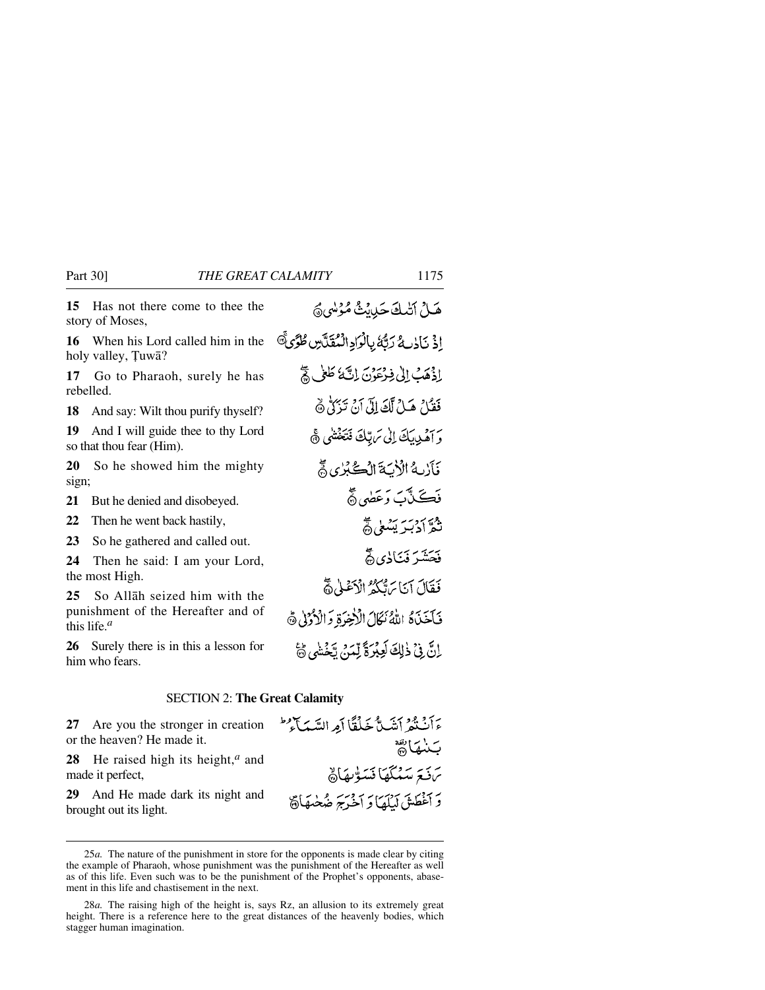**15** Has not there come to thee the story of Moses,

**16** When his Lord called him in the holy valley, Tuwā?

**17** Go to Pharaoh, surely he has rebelled.

**18** And say: Wilt thou purify thyself?

**19** And I will guide thee to thy Lord so that thou fear (Him).

**20** So he showed him the mighty sign;

**21** But he denied and disobeyed.

**22** Then he went back hastily,

**23** So he gathered and called out.

**24** Then he said: I am your Lord, the most High.

**25** So Allåh seized him with the punishment of the Hereafter and of this life.*<sup>a</sup>*

**26** Surely there is in this a lesson for him who fears.

اِذْ نَاذِرِ مُ رَبَّهُ بِالْرَادِ الْمُقَلَّسِ طُرُّىَّ إِذْهَبُ إِلَىٰ فِرْعَوْنَ إِنَّهَ لَهِ لَمِّ لَمَّ فَقَمْلُ هَـٰلُ لَكَ إِلَىٰٓ أَنۡ تَذَكَّلُّ ۞ وَ أَهْدِيبَكَ إِلَى سَ بِّكَ فَتَخْشَى ﴾ فآربهُ الْأَيَةَ الْكُبُرُى حَجّ فَڪَٽَٽَ وَعَضَىٰ۞ نثرادبير يشلي هجّ فَحَشَرَ فَيَأْذِي آَهُمْ فَقَالَ آيَا بَرَّتْكُمْ الْأَعْلَىٰ وَّ فَأَخَذَهُ اللَّهُ نَكَالَ الْأَخِرَةِ وَالْأَرْمَلِ ٥ إِنَّ فِي ذٰلِكَ لَعِبْرَةً لِّمَنْ يَحْشَى ﴾

هَــلُ أَتْبِيكَ حَبِيبِيثُ مُؤْسَى هُمَّ

#### SECTION 2: **The Great Calamity**

**27** Are you the stronger in creation or the heaven? He made it.

**28** He raised high its height,*<sup>a</sup>* and made it perfect,

**29** And He made dark its night and brought out its light.

ءَأَنْ قَوْ أَنِتَبٍ مُّ جَبِّلْقًا أَمِرِ السَّبَهِ بِٱلْمُ طَ سنيمارية يَ نَبَعَ سَيُبْكَهَا فَسَوّْبِهَاهُمْ وَ أَغْطَشَ لَيْلَعَا وَ آخَرَجَ ضُخْبِهَا ۞

<sup>25</sup>*a.* The nature of the punishment in store for the opponents is made clear by citing the example of Pharaoh, whose punishment was the punishment of the Hereafter as well as of this life. Even such was to be the punishment of the Prophet's opponents, abasement in this life and chastisement in the next.

<sup>28</sup>*a.* The raising high of the height is, says Rz, an allusion to its extremely great height. There is a reference here to the great distances of the heavenly bodies, which stagger human imagination.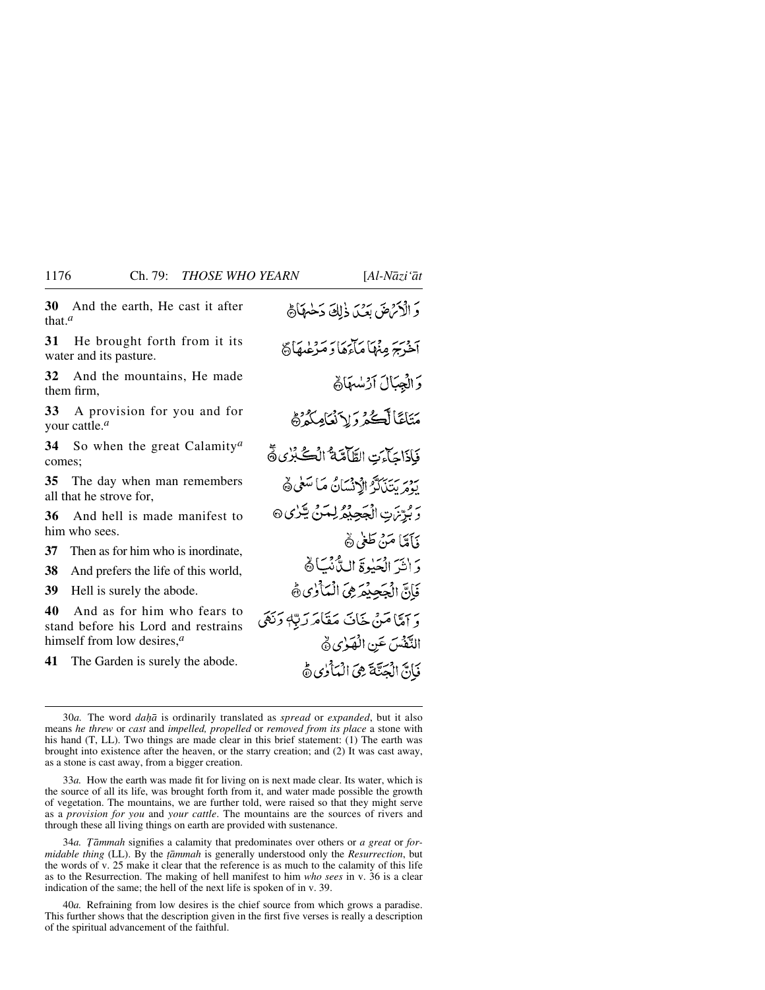**30** And the earth, He cast it after that.*<sup>a</sup>*

**31** He brought forth from it its water and its pasture.

**32** And the mountains, He made them firm,

**33** A provision for you and for your cattle.*<sup>a</sup>*

**34** So when the great Calamity*<sup>a</sup>* comes;

**35** The day when man remembers all that he strove for,

**36** And hell is made manifest to him who sees.

**37** Then as for him who is inordinate,

**38** And prefers the life of this world,

**39** Hell is surely the abode.

**40** And as for him who fears to stand before his Lord and restrains himself from low desires,*<sup>a</sup>*

**41** The Garden is surely the abode.

وَ الْأَتْرَاضَ بَعَيْدَ ذٰلِكَ دَخْيَهَاْ مُ .<br>أهرس مِنْهَا مَأْءَهَا دِ مَرْعُدِهَاهُ وَالْجِبَالَ آرْسُهَانَ مَتَاعًا لَكُمْ وَلِاَنْعَامِكُمْ فَإِذَاجَاءَتِ الطَّامَّةُ الْكُلُّرُى فَ بِهِ بِرِيبِهِ الرَّبْسَانُ مَا سَعٰى ﴾ ر و بَرْنَ تِ الْجَجِيْعُ لِمَنْ يَكْرُى @ وَإِمَّا مَنْ طَغِي هُ دَ النَّهَ الْجَذِوَّةَ السَّانُكَ كَ فَأَنَّ الْجَجِيْعَ فِي الْمَأْلُويِ ثَمَّ وَ آمِيًّا مَنْ خَافَ مَقَامَرَ رَبُّهٖ دَنَهَي التَّفْسَ عَنِ الْهَوْيِ هِ فَانَّ الْمَتَّةَ هِيَ الْمَأْرُى ﴾

33*a.* How the earth was made fit for living on is next made clear. Its water, which is the source of all its life, was brought forth from it, and water made possible the growth of vegetation. The mountains, we are further told, were raised so that they might serve as a *provision for you* and *your cattle*. The mountains are the sources of rivers and through these all living things on earth are provided with sustenance.

34*a*. Tāmmah signifies a calamity that predominates over others or *a great* or *formidable thing* (LL). By the *ƌmmah* is generally understood only the *Resurrection*, but the words of v. 25 make it clear that the reference is as much to the calamity of this life as to the Resurrection. The making of hell manifest to him *who sees* in v. 36 is a clear indication of the same; the hell of the next life is spoken of in v. 39.

40*a.* Refraining from low desires is the chief source from which grows a paradise. This further shows that the description given in the first five verses is really a description of the spiritual advancement of the faithful.

<sup>30</sup>*a.* The word *daÌ* is ordinarily translated as *spread* or *expanded*, but it also means *he threw* or *cast* and *impelled, propelled* or *removed from its place* a stone with his hand (T, LL). Two things are made clear in this brief statement: (1) The earth was brought into existence after the heaven, or the starry creation; and (2) It was cast away, as a stone is cast away, from a bigger creation.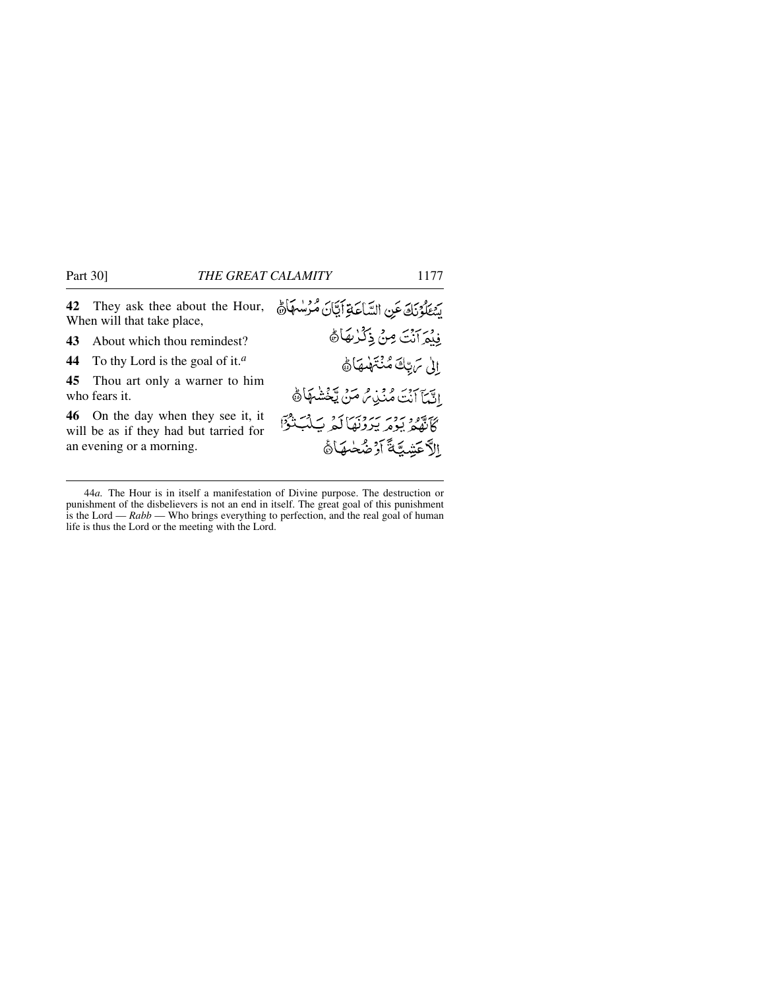|    | 42 They ask thee about the Hour,<br>When will that take place,                                           | يَسْتَلَوْنَكَ عَنِ السَّاعَةِ أَيَّانَ مُرْسُمَاَةً                                 |
|----|----------------------------------------------------------------------------------------------------------|--------------------------------------------------------------------------------------|
| 43 | About which thou remindest?                                                                              | فِيْمَ آنْتَ مِنْ ذِكْرُهَاهُ                                                        |
|    | 44 To thy Lord is the goal of it. <sup><i>a</i></sup>                                                    | الى ترتكَ مُنْتَهْبِهَا هَ                                                           |
|    | <b>45</b> Thou art only a warner to him<br>who fears it.                                                 | انْتِيَآ أَنْتَ مُنۡدِيۡ مُّ مَنۡ يَّخۡشَٰهَاۚ هَٰ                                   |
|    | 46 On the day when they see it, it<br>will be as if they had but tarried for<br>an evening or a morning. | كَأَنَّهُمْ يُوْمِرِ يَرْدِّنَهَا لَمْهِ بَ1ْبَلْنَوْا<br>الآعشتَةَ أَدْ ضُخْبِهَاهُ |
|    |                                                                                                          |                                                                                      |

<sup>44</sup>*a.* The Hour is in itself a manifestation of Divine purpose. The destruction or punishment of the disbelievers is not an end in itself. The great goal of this punishment is the Lord — *Rabb* — Who brings everything to perfection, and the real goal of human life is thus the Lord or the meeting with the Lord.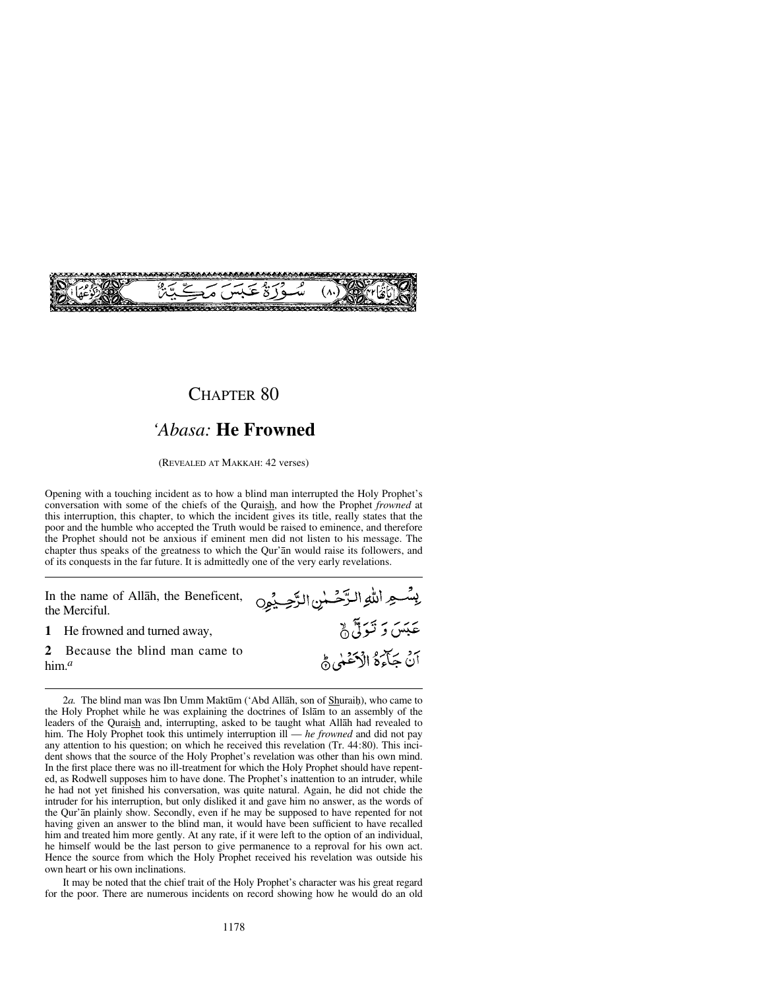

### CHAPTER 80

## *'Abasa:* **He Frowned**

(REVEALED AT MAKKAH: 42 verses)

Opening with a touching incident as to how a blind man interrupted the Holy Prophet's conversation with some of the chiefs of the Quraish, and how the Prophet *frowned* at this interruption, this chapter, to which the incident gives its title, really states that the poor and the humble who accepted the Truth would be raised to eminence, and therefore the Prophet should not be anxious if eminent men did not listen to his message. The chapter thus speaks of the greatness to which the Qur'ån would raise its followers, and of its conquests in the far future. It is admittedly one of the very early revelations.

بِسْعِ اللَّهِ الرَّحْسٰنِ الرَّحِيْمِِ In the name of Allåh, the Beneficent, the Merciful. عَبَسَ وَ تَـوَلِّيُّ ۞ **1** He frowned and turned away, **2** Because the blind man came to أَنَّ جَآءَهُ الْأَخْنِي هَي him.*<sup>a</sup>*

2*a*. The blind man was Ibn Umm Maktūm ('Abd Allāh, son of Shuraiḥ), who came to the Holy Prophet while he was explaining the doctrines of Islåm to an assembly of the leaders of the Quraish and, interrupting, asked to be taught what Allah had revealed to him. The Holy Prophet took this untimely interruption ill — *he frowned* and did not pay any attention to his question; on which he received this revelation (Tr. 44:80). This incident shows that the source of the Holy Prophet's revelation was other than his own mind. In the first place there was no ill-treatment for which the Holy Prophet should have repented, as Rodwell supposes him to have done. The Prophet's inattention to an intruder, while he had not yet finished his conversation, was quite natural. Again, he did not chide the intruder for his interruption, but only disliked it and gave him no answer, as the words of the Qur'ån plainly show. Secondly, even if he may be supposed to have repented for not having given an answer to the blind man, it would have been sufficient to have recalled him and treated him more gently. At any rate, if it were left to the option of an individual, he himself would be the last person to give permanence to a reproval for his own act. Hence the source from which the Holy Prophet received his revelation was outside his own heart or his own inclinations.

It may be noted that the chief trait of the Holy Prophet's character was his great regard for the poor. There are numerous incidents on record showing how he would do an old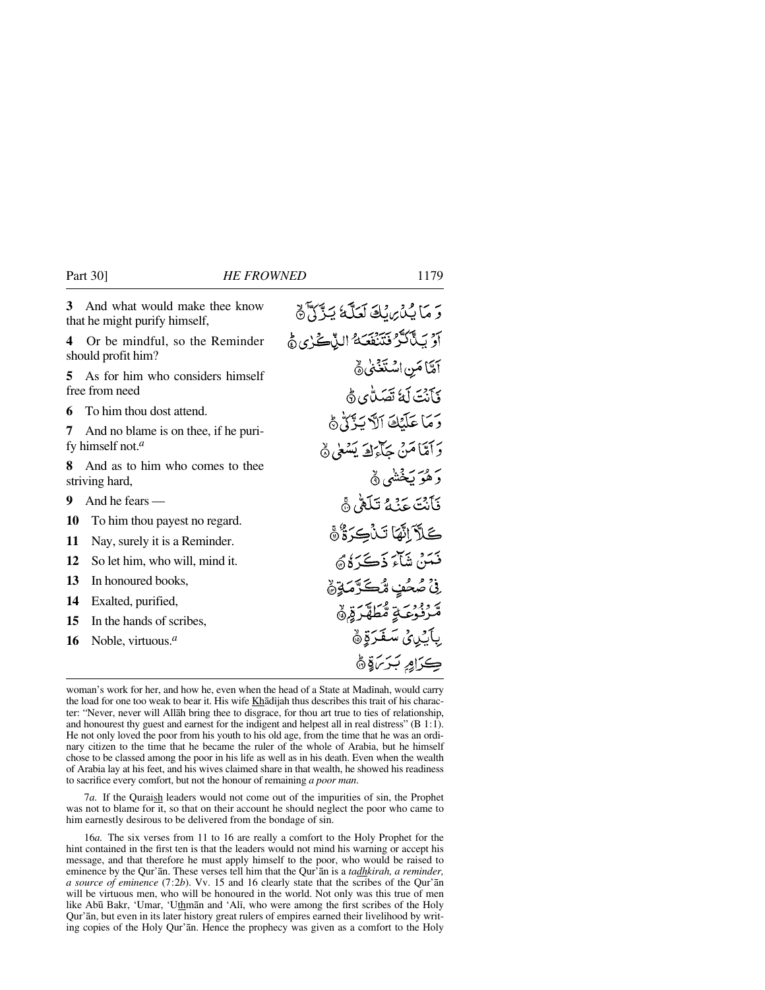|                                                         | 3 And what would make thee know<br>that he might purify himself, | رَ مَا يُدْيِرِيْكَ لَعَلَّمَ يَذَكَّرُهَ                  |
|---------------------------------------------------------|------------------------------------------------------------------|------------------------------------------------------------|
| 4                                                       | Or be mindful, so the Reminder<br>should profit him?             | آوَ بَيْأَكَّرْ فَتَنْفَعَهُ النَّاكُرٰي هُ                |
| 5.                                                      | As for him who considers himself<br>free from need               | أَمَّا مَنِ اسْتَغَنَّىٰ ﴾<br>ذَآنَتَ لَمَّا تَصَلُّهَى هَ |
| 6                                                       | To him thou dost attend.                                         | دَمَا عَلَّنَكَ ٱلَّآتَ ٱلَّذُنَّ لَّهُ                    |
| 7                                                       | And no blame is on thee, if he puri-                             |                                                            |
|                                                         | fy himself not. <sup><math>a</math></sup>                        | دَ آمَنَا مَنْ حَآءَكَ يَسْعَىٰ ﴾                          |
| And as to him who comes to thee<br>8.<br>striving hard, |                                                                  | دَ هُوَ بَخْشَى هُ                                         |
| 9                                                       | And he fears $-$                                                 | فَأَنْتَ عَنْهُ تَلَقَّىٰ وَ                               |
| 10                                                      | To him thou payest no regard.                                    | كَلاَّ اتَّهَا تَنْكِدَةٌ هَ                               |
| 11                                                      | Nay, surely it is a Reminder.                                    |                                                            |
| 12                                                      | So let him, who will, mind it.                                   | فَعَدْ، شَآءَ ذَڪَرَ َهُ ﴾                                 |
| 13                                                      | In honoured books,                                               | ؚڹٛٚٙۘۘٙڞؙڂڣ؉ڲػڗٞڡؘۊٟۿ                                     |
| 14                                                      | Exalted, purified,                                               | مَّرْنُوْعَةِ مُّطَهَّرَةِ هُ                              |
| 15                                                      | In the hands of scribes,                                         |                                                            |
| 16                                                      | Noble, virtuous. $a$                                             | ِبِأَكِينِيٍّ سَغَرَةٍ ۞                                   |
|                                                         |                                                                  | ڪرامِ بَرَسَةٍ۞                                            |

woman's work for her, and how he, even when the head of a State at Madinah, would carry the load for one too weak to bear it. His wife Khadijah thus describes this trait of his character: "Never, never will Allåh bring thee to disgrace, for thou art true to ties of relationship, and honourest thy guest and earnest for the indigent and helpest all in real distress" (B 1:1). He not only loved the poor from his youth to his old age, from the time that he was an ordinary citizen to the time that he became the ruler of the whole of Arabia, but he himself chose to be classed among the poor in his life as well as in his death. Even when the wealth of Arabia lay at his feet, and his wives claimed share in that wealth, he showed his readiness to sacrifice every comfort, but not the honour of remaining *a poor man*.

7*a.* If the Quraish leaders would not come out of the impurities of sin, the Prophet was not to blame for it, so that on their account he should neglect the poor who came to him earnestly desirous to be delivered from the bondage of sin.

16*a.* The six verses from 11 to 16 are really a comfort to the Holy Prophet for the hint contained in the first ten is that the leaders would not mind his warning or accept his message, and that therefore he must apply himself to the poor, who would be raised to eminence by the Qur'ån. These verses tell him that the Qur'ån is a *tadhkirah, a reminder, a source of eminence* (7:2*b*). Vv. 15 and 16 clearly state that the scribes of the Qur'ån will be virtuous men, who will be honoured in the world. Not only was this true of men like Abū Bakr, 'Umar, 'Uthmān and 'Ali, who were among the first scribes of the Holy Qur'ån, but even in its later history great rulers of empires earned their livelihood by writing copies of the Holy Qur'ån. Hence the prophecy was given as a comfort to the Holy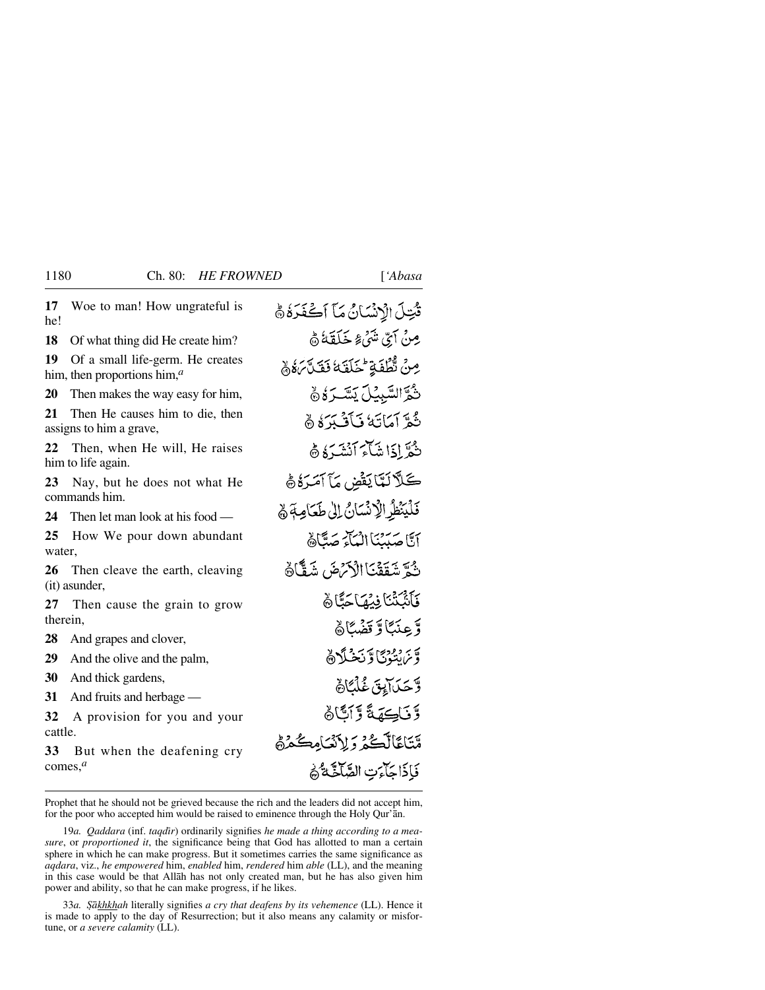| قُتِلَ الْإِنْسَانُ مَآ أَكْفَرَهُ ﴾                     |
|----------------------------------------------------------|
| ِ مِنۡ آَیِّ شَیۡۤءٗ خَلَقَهُۚ هَٰ                       |
| مِنْ تَّطْفَةٍ حْلَقَهُ نَقَلَّ بَهُ وَ                  |
| شَرَّالسَّبِيُّلَ يَسَّـرَهُ۞                            |
| ثُعرَّ أَمَاتَهُ فَأَفَيْدَهُ ۞                          |
| شُعَّراذَا شَأَءَ أَنْشَدَهُ ۞                           |
| كَلَّالَةَايَفْضِ مَا آمَرَهُ ﴾                          |
| فَلَيَنْظِرِ الْإِنْسَانُ إِلَىٰ طَعَامِهَ ﴾             |
| آتًا صَيْبَنَنَا الْبَأْءَ صَدًّاهُ                      |
| ثُمَّ شَقَقْنَا الْأَرْضَ شَقَّا <sup>ن</sup> َ          |
| فَأَنْبَثْنَا فِيُهَاجَنَّا هُ<br>وَّعِنَبًاوَّتَضْبًاهُ |
|                                                          |
| وَّيَرَانِنُوْنَ دَيْنَ مِنْ اَلِي                       |
| وَّحَدَابِيَّ غُلْبًاهُ                                  |
|                                                          |
| وَّنَاكِهَةً وَّٱتَّاهُ                                  |
| مَّتَاعًالَّكُمْ رَلِاَنْكَامِكُمْنَّ                    |
| فَإِذَاجَآءَتِ الصَّآخَةُ ۖ وَ                           |
|                                                          |

Prophet that he should not be grieved because the rich and the leaders did not accept him, for the poor who accepted him would be raised to eminence through the Holy Qur'ån.

19a. Qaddara (inf. taqdir) ordinarily signifies he made a thing according to a mea*sure*, or *proportioned it*, the significance being that God has allotted to man a certain sphere in which he can make progress. But it sometimes carries the same significance as *aqdara*, viz., *he empowered* him, *enabled* him, *rendered* him *able* (LL), and the meaning in this case would be that Allåh has not only created man, but he has also given him power and ability, so that he can make progress, if he likes.

33*a. ˝åkhkhah* literally signifies *a cry that deafens by its vehemence* (LL). Hence it is made to apply to the day of Resurrection; but it also means any calamity or misfortune, or *a severe calamity* (LL).